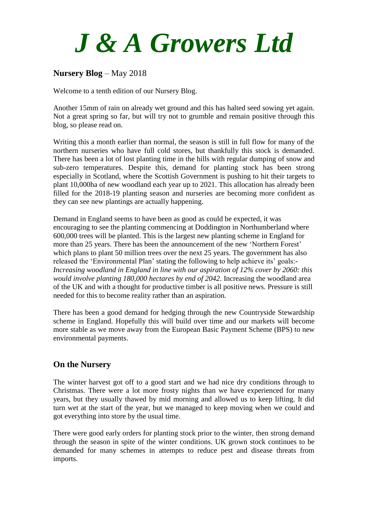# *J & A Growers Ltd*

## **Nursery Blog** – May 2018

Welcome to a tenth edition of our Nursery Blog.

Another 15mm of rain on already wet ground and this has halted seed sowing yet again. Not a great spring so far, but will try not to grumble and remain positive through this blog, so please read on.

Writing this a month earlier than normal, the season is still in full flow for many of the northern nurseries who have full cold stores, but thankfully this stock is demanded. There has been a lot of lost planting time in the hills with regular dumping of snow and sub-zero temperatures. Despite this, demand for planting stock has been strong especially in Scotland, where the Scottish Government is pushing to hit their targets to plant 10,000ha of new woodland each year up to 2021. This allocation has already been filled for the 2018-19 planting season and nurseries are becoming more confident as they can see new plantings are actually happening.

Demand in England seems to have been as good as could be expected, it was encouraging to see the planting commencing at Doddington in Northumberland where 600,000 trees will be planted. This is the largest new planting scheme in England for more than 25 years. There has been the announcement of the new 'Northern Forest' which plans to plant 50 million trees over the next 25 years. The government has also released the 'Environmental Plan' stating the following to help achieve its' goals:- *Increasing woodland in England in line with our aspiration of 12% cover by 2060: this would involve planting 180,000 hectares by end of 2042*. Increasing the woodland area of the UK and with a thought for productive timber is all positive news. Pressure is still needed for this to become reality rather than an aspiration.

There has been a good demand for hedging through the new Countryside Stewardship scheme in England. Hopefully this will build over time and our markets will become more stable as we move away from the European Basic Payment Scheme (BPS) to new environmental payments.

#### **On the Nursery**

The winter harvest got off to a good start and we had nice dry conditions through to Christmas. There were a lot more frosty nights than we have experienced for many years, but they usually thawed by mid morning and allowed us to keep lifting. It did turn wet at the start of the year, but we managed to keep moving when we could and got everything into store by the usual time.

There were good early orders for planting stock prior to the winter, then strong demand through the season in spite of the winter conditions. UK grown stock continues to be demanded for many schemes in attempts to reduce pest and disease threats from imports.